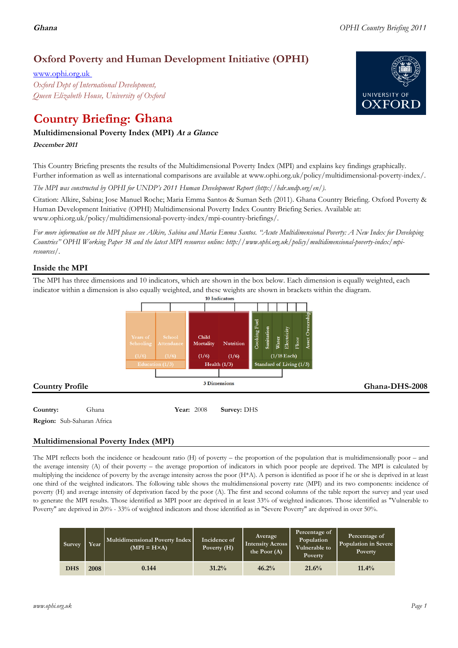# **Oxford Poverty and Human Development Initiative (OPHI)**

www.ophi.org.uk *Oxford Dept of International Development, Queen Elizabeth House, University of Oxford*

# **Country Briefing: Ghana**

# **Multidimensional Poverty Index (MPI) At <sup>a</sup> Glance**

**December <sup>2011</sup>**

This Country Briefing presents the results of the Multidimensional Poverty Index (MPI) and explains key findings graphically. Further information as well as international comparisons are available at www.ophi.org.uk/policy/multidimensional-poverty-index/.

*The MPI was constructed by OPHI for UNDP's 2011 Human Development Report (http://hdr.undp.org/en/).*

Citation: Alkire, Sabina; Jose Manuel Roche; Maria Emma Santos & Suman Seth (2011). Ghana Country Briefing. Oxford Poverty & Human Development Initiative (OPHI) Multidimensional Poverty Index Country Briefing Series. Available at: www.ophi.org.uk/policy/multidimensional-poverty-index/mpi-country-briefings/.

*For more information on the MPI please see Alkire, Sabina and Maria Emma Santos. "Acute Multidimensional Poverty: A New Index for Developing Countries" OPHI Working Paper 38 and the latest MPI resources online: http://www.ophi.org.uk/policy/multidimensional-poverty-index/mpiresources/.*

# **Inside the MPI**

The MPI has three dimensions and 10 indicators, which are shown in the box below. Each dimension is equally weighted, each indicator within a dimension is also equally weighted, and these weights are shown in brackets within the diagram.



# **Multidimensional Poverty Index (MPI)**

The MPI reflects both the incidence or headcount ratio (H) of poverty – the proportion of the population that is multidimensionally poor – and the average intensity (A) of their poverty – the average proportion of indicators in which poor people are deprived. The MPI is calculated by multiplying the incidence of poverty by the average intensity across the poor (H\*A). A person is identified as poor if he or she is deprived in at least one third of the weighted indicators. The following table shows the multidimensional poverty rate (MPI) and its two components: incidence of poverty (H) and average intensity of deprivation faced by the poor (A). The first and second columns of the table report the survey and year used to generate the MPI results. Those identified as MPI poor are deprived in at least 33% of weighted indicators. Those identified as "Vulnerable to Poverty" are deprived in 20% - 33% of weighted indicators and those identified as in "Severe Poverty" are deprived in over 50%.

| Survey     | Year | Multidimensional Poverty Index<br>$(MPI = H \times A)$ | Incidence of<br>Poverty (H) | Average<br><b>Intensity Across</b><br>the Poor $(A)$ | Percentage of<br>Population<br>Vulnerable to<br><b>Poverty</b> | Percentage of<br>Population in Severe<br>Poverty |  |
|------------|------|--------------------------------------------------------|-----------------------------|------------------------------------------------------|----------------------------------------------------------------|--------------------------------------------------|--|
| <b>DHS</b> | 2008 | 0.144                                                  | 31.2%                       | 46.2%                                                | 21.6%                                                          | $11.4\%$                                         |  |

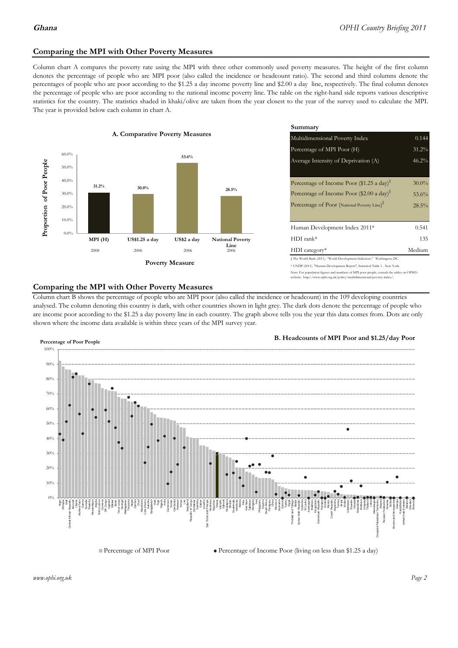### **Comparing the MPI with Other Poverty Measures**

Column chart A compares the poverty rate using the MPI with three other commonly used poverty measures. The height of the first column denotes the percentage of people who are MPI poor (also called the incidence or headcount ratio). The second and third columns denote the percentages of people who are poor according to the \$1.25 a day income poverty line and \$2.00 a day line, respectively. The final column denotes the percentage of people who are poor according to the national income poverty line. The table on the right-hand side reports various descriptive statistics for the country. The statistics shaded in khaki/olive are taken from the year closest to the year of the survey used to calculate the MPI. The year is provided below each column in chart A.



|                 |                         | Summary                                                                                                                                                                                                          |                               |  |  |  |  |
|-----------------|-------------------------|------------------------------------------------------------------------------------------------------------------------------------------------------------------------------------------------------------------|-------------------------------|--|--|--|--|
| erty Measures   |                         | 0.144<br>Multidimensional Poverty Index                                                                                                                                                                          |                               |  |  |  |  |
|                 |                         | Percentage of MPI Poor (H)                                                                                                                                                                                       | 31.2%                         |  |  |  |  |
| 53.6%           |                         | Average Intensity of Deprivation (A)                                                                                                                                                                             | 46.2%                         |  |  |  |  |
|                 | 28.5%                   | Percentage of Income Poor (\$1.25 a day) <sup><math>\ddagger</math></sup><br>Percentage of Income Poor (\$2.00 a day) <sup><math>\bar{x}</math></sup><br>Percentage of Poor (National Poverty Line) <sup>#</sup> | $30.0\%$<br>53.6%<br>$28.5\%$ |  |  |  |  |
|                 |                         | Human Development Index 2011*                                                                                                                                                                                    | 0.541                         |  |  |  |  |
| US\$2 a day     | <b>National Poverty</b> | $HDI$ rank*                                                                                                                                                                                                      | 135                           |  |  |  |  |
| 2006            | Line<br>2006            | $HDI category*$                                                                                                                                                                                                  | Medium                        |  |  |  |  |
| <b>⁄Ieasure</b> |                         | $\pm$ The World Bank (2011). "World Development Indicators." Washington, DC.<br>* UNDP (2011). "Human Development Report", Statistical Table 1. New York.                                                        |                               |  |  |  |  |

te: For population figures and numbers of MPI poor people, consult the tables on OPHI's te: http://www.ophi.org.uk/policy/multidimensional-poverty-index/

### **Comparing the MPI with Other Poverty Measures**

Column chart B shows the percentage of people who are MPI poor (also called the incidence or headcount) in the 109 developing countries analysed. The column denoting this country is dark, with other countries shown in light grey. The dark dots denote the percentage of people who are income poor according to the \$1.25 a day poverty line in each country. The graph above tells you the year this data comes from. Dots are only shown where the income data available is within three years of the MPI survey year.



**B. Headcounts of MPI Poor and \$1.25/day Poor**



 $\bullet$  Percentage of Income Poor (living on less than \$1.25 a day)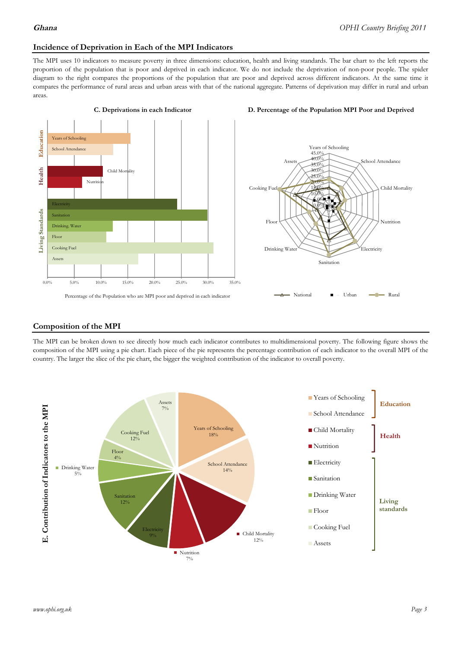### **Incidence of Deprivation in Each of the MPI Indicators**

The MPI uses 10 indicators to measure poverty in three dimensions: education, health and living standards. The bar chart to the left reports the proportion of the population that is poor and deprived in each indicator. We do not include the deprivation of non-poor people. The spider diagram to the right compares the proportions of the population that are poor and deprived across different indicators. At the same time it compares the performance of rural areas and urban areas with that of the national aggregate. Patterns of deprivation may differ in rural and urban areas.





### **Composition of the MPI**

The MPI can be broken down to see directly how much each indicator contributes to multidimensional poverty. The following figure shows the composition of the MPI using a pie chart. Each piece of the pie represents the percentage contribution of each indicator to the overall MPI of the country. The larger the slice of the pie chart, the bigger the weighted contribution of the indicator to overall poverty.

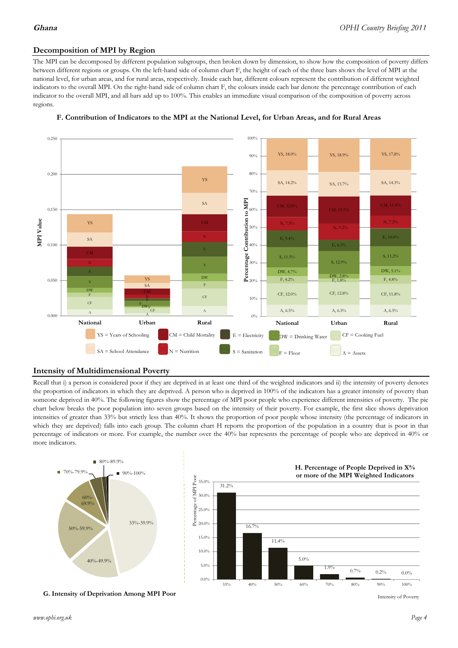## **Decomposition of MPI by Region**

The MPI can be decomposed by different population subgroups, then broken down by dimension, to show how the composition of poverty differs between different regions or groups. On the left-hand side of column chart F, the height of each of the three bars shows the level of MPI at the national level, for urban areas, and for rural areas, respectively. Inside each bar, different colours represent the contribution of different weighted indicators to the overall MPI. On the right-hand side of column chart F, the colours inside each bar denote the percentage contribution of each indicator to the overall MPI, and all bars add up to 100%. This enables an immediate visual comparison of the composition of poverty across regions.



### **F. Contribution of Indicators to the MPI at the National Level, for Urban Areas, and for Rural Areas**

### **Intensity of Multidimensional Poverty**

Recall that i) a person is considered poor if they are deprived in at least one third of the weighted indicators and ii) the intensity of poverty denotes the proportion of indicators in which they are deprived. A person who is deprived in 100% of the indicators has a greater intensity of poverty than someone deprived in 40%. The following figures show the percentage of MPI poor people who experience different intensities of poverty. The pie chart below breaks the poor population into seven groups based on the intensity of their poverty. For example, the first slice shows deprivation intensities of greater than 33% but strictly less than 40%. It shows the proportion of poor people whose intensity (the percentage of indicators in which they are deprived) falls into each group. The column chart H reports the proportion of the population in a country that is poor in that percentage of indicators or more. For example, the number over the 40% bar represents the percentage of people who are deprived in 40% or more indicators.



**G. Intensity of Deprivation Among MPI Poor**

Intensity of Poverty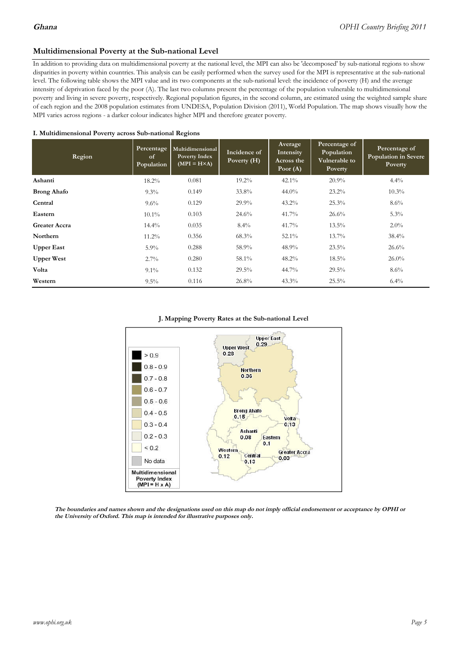### **Multidimensional Poverty at the Sub-national Level**

In addition to providing data on multidimensional poverty at the national level, the MPI can also be 'decomposed' by sub-national regions to show disparities in poverty within countries. This analysis can be easily performed when the survey used for the MPI is representative at the sub-national level. The following table shows the MPI value and its two components at the sub-national level: the incidence of poverty (H) and the average intensity of deprivation faced by the poor (A). The last two columns present the percentage of the population vulnerable to multidimensional poverty and living in severe poverty, respectively. Regional population figures, in the second column, are estimated using the weighted sample share of each region and the 2008 population estimates from UNDESA, Population Division (2011), World Population. The map shows visually how the MPI varies across regions - a darker colour indicates higher MPI and therefore greater poverty.

### **I. Multidimensional Poverty across Sub-national Regions**

| Region               | Percentage<br>of<br>Population | Multidimensional<br>Poverty Index<br>$(MPI = H \times A)$ | Incidence of<br>Poverty $(H)$ | Average<br>Intensity<br>Across the<br>Poor $(A)$ | Percentage of<br>Population<br>Vulnerable to<br>Poverty | Percentage of<br><b>Population in Severe</b><br>Poverty |
|----------------------|--------------------------------|-----------------------------------------------------------|-------------------------------|--------------------------------------------------|---------------------------------------------------------|---------------------------------------------------------|
| Ashanti              | $18.2\%$                       | 0.081                                                     | $19.2\%$                      | $42.1\%$                                         | $20.9\%$                                                | $4.4\%$                                                 |
| <b>Brong Ahafo</b>   | $9.3\%$                        | 0.149                                                     | 33.8%                         | $44.0\%$                                         | $23.2\%$                                                | $10.3\%$                                                |
| Central              | $9.6\%$                        | 0.129                                                     | $29.9\%$                      | $43.2\%$                                         | 25.3%                                                   | $8.6\%$                                                 |
| Eastern              | $10.1\%$                       | 0.103                                                     | 24.6%                         | 41.7%                                            | 26.6%                                                   | $5.3\%$                                                 |
| <b>Greater Accra</b> | $14.4\%$                       | 0.035                                                     | $8.4\%$                       | 41.7%                                            | $13.5\%$                                                | $2.0\%$                                                 |
| <b>Northern</b>      | $11.2\%$                       | 0.356                                                     | $68.3\%$                      | $52.1\%$                                         | $13.7\%$                                                | $38.4\%$                                                |
| <b>Upper East</b>    | $5.9\%$                        | 0.288                                                     | 58.9%                         | 48.9%                                            | $23.5\%$                                                | 26.6%                                                   |
| <b>Upper West</b>    | $2.7\%$                        | 0.280                                                     | 58.1%                         | 48.2%                                            | $18.5\%$                                                | $26.0\%$                                                |
| Volta                | $9.1\%$                        | 0.132                                                     | $29.5\%$                      | 44.7%                                            | $29.5\%$                                                | $8.6\%$                                                 |
| Western              | $9.5\%$                        | 0.116                                                     | 26.8%                         | $43.3\%$                                         | 25.5%                                                   | $6.4\%$                                                 |

### **J. Mapping Poverty Rates at the Sub-national Level**



The boundaries and names shown and the designations used on this map do not imply official endorsement or acceptance by OPHI or the University of Oxford. This map is intended for illustrative purposes only.